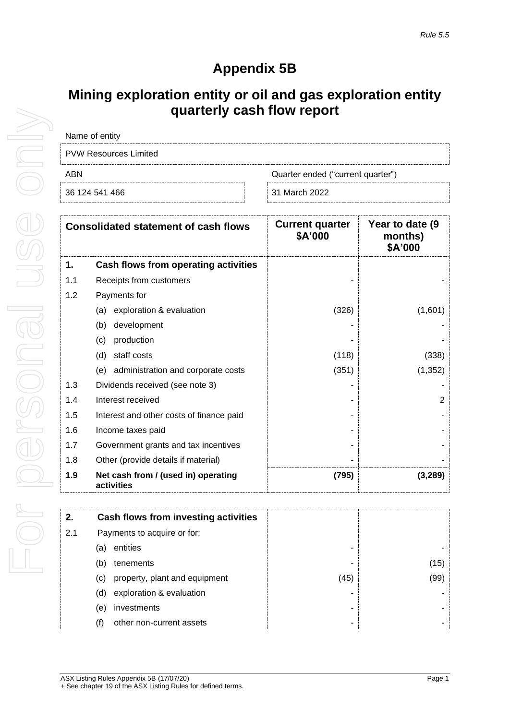## **Appendix 5B**

## **Mining exploration entity or oil and gas exploration entity quarterly cash flow report**

| Name of entity                           |               |
|------------------------------------------|---------------|
| <b>PVW Resources Limited</b>             |               |
| ABN<br>Quarter ended ("current quarter") |               |
| 36 124 541 466                           | 31 March 2022 |

|     | <b>Consolidated statement of cash flows</b>       | <b>Current quarter</b><br>\$A'000 | Year to date (9)<br>months)<br>\$A'000 |
|-----|---------------------------------------------------|-----------------------------------|----------------------------------------|
| 1.  | Cash flows from operating activities              |                                   |                                        |
| 1.1 | Receipts from customers                           |                                   |                                        |
| 1.2 | Payments for                                      |                                   |                                        |
|     | exploration & evaluation<br>(a)                   | (326)                             | (1,601)                                |
|     | development<br>(b)                                |                                   |                                        |
|     | production<br>(c)                                 |                                   |                                        |
|     | (d)<br>staff costs                                | (118)                             | (338)                                  |
|     | administration and corporate costs<br>(e)         | (351)                             | (1, 352)                               |
| 1.3 | Dividends received (see note 3)                   |                                   |                                        |
| 1.4 | Interest received                                 |                                   | $\overline{2}$                         |
| 1.5 | Interest and other costs of finance paid          |                                   |                                        |
| 1.6 | Income taxes paid                                 |                                   |                                        |
| 1.7 | Government grants and tax incentives              |                                   |                                        |
| 1.8 | Other (provide details if material)               |                                   |                                        |
| 1.9 | Net cash from / (used in) operating<br>activities | (795)                             | (3, 289)                               |

| 2.  |                             | Cash flows from investing activities |      |      |
|-----|-----------------------------|--------------------------------------|------|------|
| 2.1 | Payments to acquire or for: |                                      |      |      |
|     | (a)                         | entities                             |      |      |
|     | (b)                         | tenements                            |      | (15) |
|     | (C)                         | property, plant and equipment        | (45) | (99) |
|     | (d)                         | exploration & evaluation             |      |      |
|     | (e)                         | investments                          |      |      |
|     | (f)                         | other non-current assets             | -    | -    |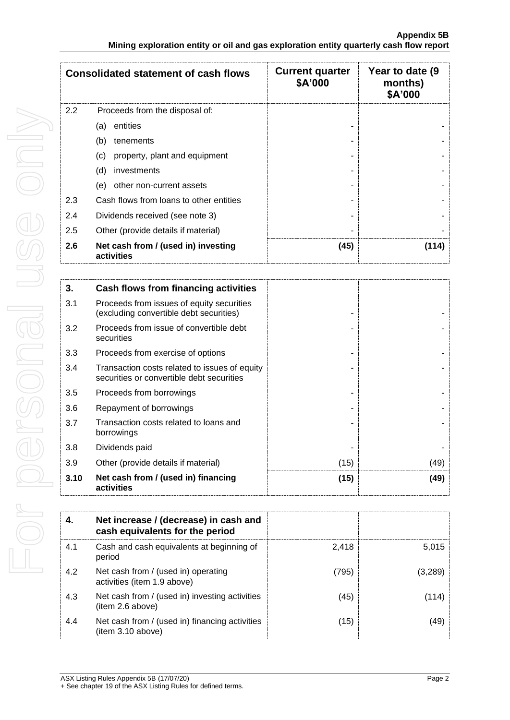|     | <b>Consolidated statement of cash flows</b>       | <b>Current quarter</b><br>\$A'000 | Year to date (9)<br>months)<br>\$A'000 |
|-----|---------------------------------------------------|-----------------------------------|----------------------------------------|
| 2.2 | Proceeds from the disposal of:                    |                                   |                                        |
|     | entities<br>(a)                                   |                                   |                                        |
|     | (b)<br>tenements                                  |                                   |                                        |
|     | property, plant and equipment<br>(c)              |                                   |                                        |
|     | (d)<br>investments                                |                                   |                                        |
|     | other non-current assets<br>(e)                   |                                   |                                        |
| 2.3 | Cash flows from loans to other entities           |                                   |                                        |
| 2.4 | Dividends received (see note 3)                   | ۰                                 |                                        |
| 2.5 | Other (provide details if material)               |                                   |                                        |
| 2.6 | Net cash from / (used in) investing<br>activities | (45)                              | (114)                                  |

| 3.   | Cash flows from financing activities                                                       |      |      |
|------|--------------------------------------------------------------------------------------------|------|------|
| 3.1  | Proceeds from issues of equity securities<br>(excluding convertible debt securities)       |      |      |
| 3.2  | Proceeds from issue of convertible debt<br>securities                                      |      |      |
| 3.3  | Proceeds from exercise of options                                                          |      |      |
| 3.4  | Transaction costs related to issues of equity<br>securities or convertible debt securities |      |      |
| 3.5  | Proceeds from borrowings                                                                   |      |      |
| 3.6  | Repayment of borrowings                                                                    |      |      |
| 3.7  | Transaction costs related to loans and<br>borrowings                                       |      |      |
| 3.8  | Dividends paid                                                                             |      |      |
| 3.9  | Other (provide details if material)                                                        | (15) | (49) |
| 3.10 | Net cash from / (used in) financing<br>activities                                          | (15) | (49) |

| 4.  | Net increase / (decrease) in cash and<br>cash equivalents for the period |       |         |
|-----|--------------------------------------------------------------------------|-------|---------|
| 4.1 | Cash and cash equivalents at beginning of<br>period                      | 2,418 | 5,015   |
| 4.2 | Net cash from / (used in) operating<br>activities (item 1.9 above)       | (795) | (3,289) |
| 4.3 | Net cash from / (used in) investing activities<br>(item 2.6 above)       | (45)  | (114)   |
| 4.4 | Net cash from / (used in) financing activities<br>(item 3.10 above)      | (15)  | (49)    |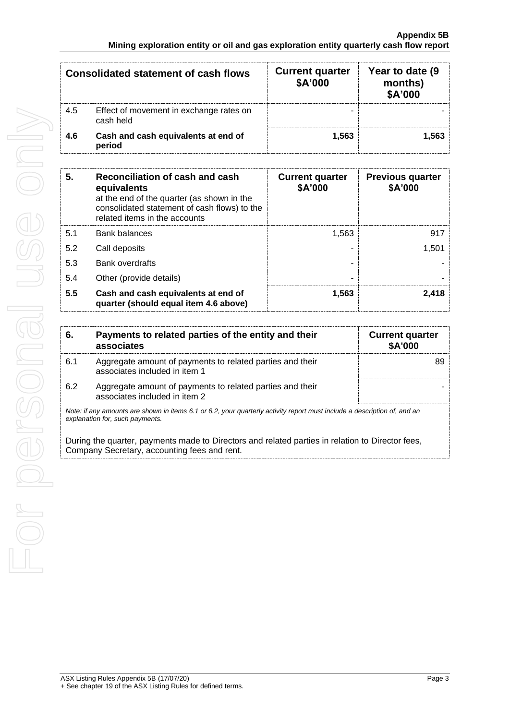| <b>Consolidated statement of cash flows</b> |                                                      | <b>Current quarter</b><br>\$A'000 | Year to date (9)<br>months)<br>\$A'000 |
|---------------------------------------------|------------------------------------------------------|-----------------------------------|----------------------------------------|
| 4.5                                         | Effect of movement in exchange rates on<br>cash held | -                                 |                                        |
| 4.6                                         | Cash and cash equivalents at end of<br>period        | 1,563                             | 1,563                                  |

| 5.  | Reconciliation of cash and cash<br>equivalents<br>at the end of the quarter (as shown in the<br>consolidated statement of cash flows) to the<br>related items in the accounts | <b>Current quarter</b><br>\$A'000 | <b>Previous quarter</b><br>\$A'000 |
|-----|-------------------------------------------------------------------------------------------------------------------------------------------------------------------------------|-----------------------------------|------------------------------------|
| 5.1 | Bank balances                                                                                                                                                                 | 1,563                             | 917                                |
| 5.2 | Call deposits                                                                                                                                                                 |                                   | 1,501                              |
| 5.3 | <b>Bank overdrafts</b>                                                                                                                                                        |                                   |                                    |
| 5.4 | Other (provide details)                                                                                                                                                       |                                   |                                    |
| 5.5 | Cash and cash equivalents at end of<br>quarter (should equal item 4.6 above)                                                                                                  | 1,563                             | 2,418                              |

| 6.  | Payments to related parties of the entity and their<br>associates                                                                                           | <b>Current quarter</b><br>\$A'000 |
|-----|-------------------------------------------------------------------------------------------------------------------------------------------------------------|-----------------------------------|
| 6.1 | Aggregate amount of payments to related parties and their<br>associates included in item 1                                                                  |                                   |
| 6.2 | Aggregate amount of payments to related parties and their<br>associates included in item 2                                                                  |                                   |
|     | Note: if any amounts are shown in items 6.1 or 6.2, your quarterly activity report must include a description of, and an<br>explanation for, such payments. |                                   |

During the quarter, payments made to Directors and related parties in relation to Director fees, Company Secretary, accounting fees and rent.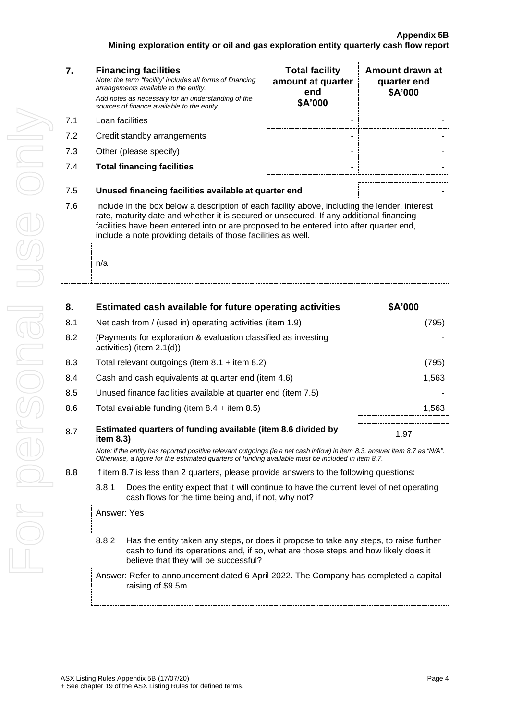| 7.  | <b>Financing facilities</b><br>Note: the term "facility' includes all forms of financing<br>arrangements available to the entity.<br>Add notes as necessary for an understanding of the<br>sources of finance available to the entity.                                                                                                               | <b>Total facility</b><br>amount at quarter<br>end<br>\$A'000 | Amount drawn at<br>quarter end<br>\$A'000 |
|-----|------------------------------------------------------------------------------------------------------------------------------------------------------------------------------------------------------------------------------------------------------------------------------------------------------------------------------------------------------|--------------------------------------------------------------|-------------------------------------------|
| 7.1 | Loan facilities                                                                                                                                                                                                                                                                                                                                      |                                                              |                                           |
| 7.2 | Credit standby arrangements                                                                                                                                                                                                                                                                                                                          |                                                              |                                           |
| 7.3 | Other (please specify)                                                                                                                                                                                                                                                                                                                               |                                                              |                                           |
| 7.4 | <b>Total financing facilities</b>                                                                                                                                                                                                                                                                                                                    |                                                              |                                           |
| 7.5 | Unused financing facilities available at quarter end                                                                                                                                                                                                                                                                                                 |                                                              |                                           |
| 7.6 | Include in the box below a description of each facility above, including the lender, interest<br>rate, maturity date and whether it is secured or unsecured. If any additional financing<br>facilities have been entered into or are proposed to be entered into after quarter end,<br>include a note providing details of those facilities as well. |                                                              |                                           |
|     |                                                                                                                                                                                                                                                                                                                                                      |                                                              |                                           |

n/a

| 8.  |              | <b>Estimated cash available for future operating activities</b>                                                                                                                                                                 | \$A'000 |
|-----|--------------|---------------------------------------------------------------------------------------------------------------------------------------------------------------------------------------------------------------------------------|---------|
| 8.1 |              | Net cash from / (used in) operating activities (item 1.9)                                                                                                                                                                       | (795)   |
| 8.2 |              | (Payments for exploration & evaluation classified as investing<br>activities) (item 2.1(d))                                                                                                                                     |         |
| 8.3 |              | Total relevant outgoings (item $8.1 +$ item $8.2$ )                                                                                                                                                                             | (795)   |
| 8.4 |              | Cash and cash equivalents at quarter end (item 4.6)                                                                                                                                                                             | 1,563   |
| 8.5 |              | Unused finance facilities available at quarter end (item 7.5)                                                                                                                                                                   |         |
| 8.6 |              | Total available funding (item $8.4 +$ item $8.5$ )                                                                                                                                                                              | 1,563   |
| 8.7 | item $8.3$ ) | Estimated quarters of funding available (item 8.6 divided by                                                                                                                                                                    | 1.97    |
|     |              | Note: if the entity has reported positive relevant outgoings (ie a net cash inflow) in item 8.3, answer item 8.7 as "N/A".<br>Otherwise, a figure for the estimated quarters of funding available must be included in item 8.7. |         |
| 8.8 |              | If item 8.7 is less than 2 quarters, please provide answers to the following questions:                                                                                                                                         |         |
|     | 8.8.1        | Does the entity expect that it will continue to have the current level of net operating<br>cash flows for the time being and, if not, why not?                                                                                  |         |
|     | Answer: Yes  |                                                                                                                                                                                                                                 |         |
|     | 8.8.2        | Has the entity taken any steps, or does it propose to take any steps, to raise further<br>cash to fund its operations and, if so, what are those steps and how likely does it<br>believe that they will be successful?          |         |
|     |              | Answer: Refer to announcement dated 6 April 2022. The Company has completed a capital<br>raising of \$9.5m                                                                                                                      |         |